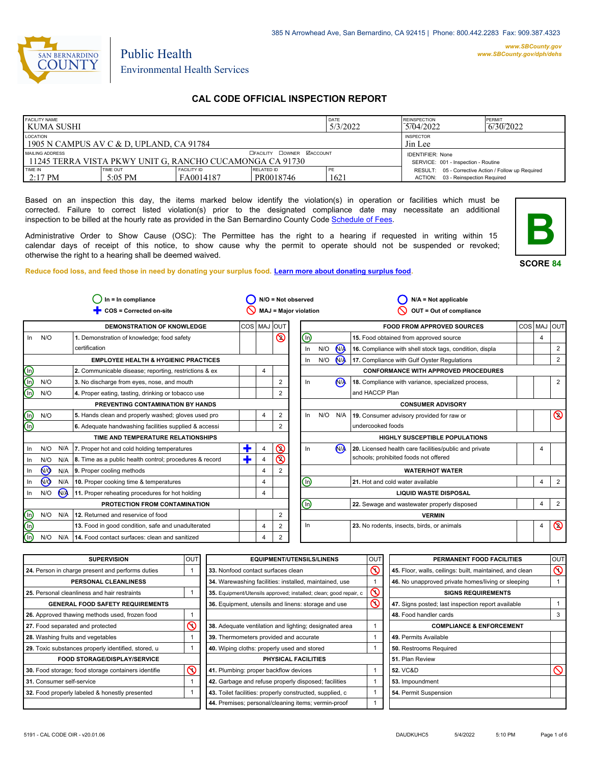

*www.SBCounty.gov [www.SBCounty.gov/dph/dehs](http://www.sbcounty.gov/dph/ehsportal)*

**B**

# Public Health Environmental Health Services

# **CAL CODE OFFICIAL INSPECTION REPORT**

| <b>FACILITY NAME</b><br>I KUMA SUSHI                                          |                     |                                  |                                                                | <b>DATE</b><br>5/3/2022 | <b>REINSPECTION</b><br>5704/2022                                                          | PERMIT<br>6/30/2022 |
|-------------------------------------------------------------------------------|---------------------|----------------------------------|----------------------------------------------------------------|-------------------------|-------------------------------------------------------------------------------------------|---------------------|
| LOCATION<br>1905 N CAMPUS AV C & D, UPLAND, CA 91784                          |                     | <b>INSPECTOR</b><br>Jin Lee      |                                                                |                         |                                                                                           |                     |
| MAILING ADDRESS<br>l 11245 TERRA VISTA PKWY UNIT G. RANCHO CUCAMONGA CA 91730 |                     | <b>OFACILITY COWNER MACCOUNT</b> | <b>IDENTIFIER: None</b><br>SERVICE: 001 - Inspection - Routine |                         |                                                                                           |                     |
| TIME IN<br>$2:17 \text{ PM}$                                                  | TIME OUT<br>5:05 PM | <b>FACILITY ID</b><br>FA0014187  | RELATED ID<br>PR0018746                                        | PE<br>1621              | RESULT: 05 - Corrective Action / Follow up Required<br>ACTION: 03 - Reinspection Required |                     |

Based on an inspection this day, the items marked below identify the violation(s) in operation or facilities which must be corrected. Failure to correct listed violation(s) prior to the designated compliance date may necessitate an additional inspection to be billed at the hourly rate as provided in the San Bernardino County Co[de Schedule of Fees.](https://codelibrary.amlegal.com/codes/sanbernardino/latest/sanberncty_ca/0-0-0-122474#JD_16.0213B)

Administrative Order to Show Cause (OSC): The Permittee has the right to a hearing if requested in writing within 15 calendar days of receipt of this notice, to show cause why the permit to operate should not be suspended or revoked; otherwise the right to a hearing shall be deemed waived.

**SCORE 84**

**Reduce food loss, and feed those in need by donating your surplus f[ood. Learn more about donating surplus food.](https://wp.sbcounty.gov/dph/programs/ehs/charitable-food-service/)**

|                                                                                        | $In = In$ compliance                                  |                                                                                                                                     |                |                |             |                                                                                                                                  | $N/A = Not applicable$                                  |                                                                      |   |                |
|----------------------------------------------------------------------------------------|-------------------------------------------------------|-------------------------------------------------------------------------------------------------------------------------------------|----------------|----------------|-------------|----------------------------------------------------------------------------------------------------------------------------------|---------------------------------------------------------|----------------------------------------------------------------------|---|----------------|
|                                                                                        | COS = Corrected on-site                               |                                                                                                                                     |                |                |             |                                                                                                                                  | OUT = Out of compliance                                 |                                                                      |   |                |
|                                                                                        | <b>DEMONSTRATION OF KNOWLEDGE</b>                     |                                                                                                                                     |                |                |             |                                                                                                                                  | <b>FOOD FROM APPROVED SOURCES</b>                       |                                                                      |   |                |
|                                                                                        | 1. Demonstration of knowledge; food safety            |                                                                                                                                     |                | $\circledcirc$ |             |                                                                                                                                  | 15. Food obtained from approved source                  |                                                                      | 4 |                |
|                                                                                        | certification                                         |                                                                                                                                     |                |                |             |                                                                                                                                  | 16. Compliance with shell stock tags, condition, displa |                                                                      |   | $\overline{2}$ |
|                                                                                        | <b>EMPLOYEE HEALTH &amp; HYGIENIC PRACTICES</b>       |                                                                                                                                     |                |                |             |                                                                                                                                  | 17. Compliance with Gulf Oyster Regulations             |                                                                      |   | 2              |
|                                                                                        | 2. Communicable disease; reporting, restrictions & ex |                                                                                                                                     | 4              |                |             |                                                                                                                                  | <b>CONFORMANCE WITH APPROVED PROCEDURES</b>             |                                                                      |   |                |
|                                                                                        | 3. No discharge from eyes, nose, and mouth            |                                                                                                                                     |                | $\overline{2}$ |             |                                                                                                                                  | 18. Compliance with variance, specialized process,      |                                                                      |   | $\overline{2}$ |
|                                                                                        | 4. Proper eating, tasting, drinking or tobacco use    |                                                                                                                                     |                | 2              |             |                                                                                                                                  | and HACCP Plan                                          |                                                                      |   |                |
|                                                                                        | PREVENTING CONTAMINATION BY HANDS                     |                                                                                                                                     |                |                |             |                                                                                                                                  | <b>CONSUMER ADVISORY</b>                                |                                                                      |   |                |
|                                                                                        | 5. Hands clean and properly washed; gloves used pro   |                                                                                                                                     | 4              | 2              |             |                                                                                                                                  | 19. Consumer advisory provided for raw or               |                                                                      |   | $\circledcirc$ |
|                                                                                        | 6. Adequate handwashing facilities supplied & accessi |                                                                                                                                     |                | 2              |             |                                                                                                                                  | undercooked foods                                       |                                                                      |   |                |
|                                                                                        | TIME AND TEMPERATURE RELATIONSHIPS                    |                                                                                                                                     |                |                |             |                                                                                                                                  | HIGHLY SUSCEPTIBLE POPULATIONS                          |                                                                      |   |                |
| N/A                                                                                    |                                                       | ٠                                                                                                                                   | 4              | $\circledcirc$ |             |                                                                                                                                  | 20. Licensed health care facilities/public and private  |                                                                      |   |                |
| N/A                                                                                    |                                                       | ٠                                                                                                                                   | 4              | $\circledcirc$ |             |                                                                                                                                  | schools; prohibited foods not offered                   |                                                                      |   |                |
| N/A                                                                                    |                                                       |                                                                                                                                     | $\overline{4}$ | $\overline{2}$ |             |                                                                                                                                  | <b>WATER/HOT WATER</b>                                  |                                                                      |   |                |
| N/A                                                                                    | 10. Proper cooking time & temperatures                |                                                                                                                                     | 4              |                |             |                                                                                                                                  | 21. Hot and cold water available                        |                                                                      | 4 | 2              |
| N <sub>A</sub>                                                                         | 11. Proper reheating procedures for hot holding       |                                                                                                                                     | 4              |                |             |                                                                                                                                  | <b>LIQUID WASTE DISPOSAL</b>                            |                                                                      |   |                |
|                                                                                        | PROTECTION FROM CONTAMINATION                         |                                                                                                                                     |                |                |             |                                                                                                                                  | 22. Sewage and wastewater properly disposed             |                                                                      | 4 | 2              |
| N/A                                                                                    | 12. Returned and reservice of food                    |                                                                                                                                     |                | $\overline{2}$ |             |                                                                                                                                  | <b>VERMIN</b>                                           |                                                                      |   |                |
|                                                                                        | 13. Food in good condition, safe and unadulterated    |                                                                                                                                     | 4              | 2              |             |                                                                                                                                  | 23. No rodents, insects, birds, or animals              |                                                                      | 4 | $\circledcirc$ |
| N/A                                                                                    | 14. Food contact surfaces: clean and sanitized        |                                                                                                                                     | 4              | $\overline{2}$ |             |                                                                                                                                  |                                                         |                                                                      |   |                |
| N/O<br>N/O<br>N/O<br>N/O<br>N/O<br>N/O<br><b>NO</b><br>$\sqrt{9}$<br>N/O<br>N/O<br>N/O |                                                       | 7. Proper hot and cold holding temperatures<br>8. Time as a public health control; procedures & record<br>9. Proper cooling methods |                |                | COS MAJ OUT | $N/O = Not observed$<br><b>MAJ = Major violation</b><br>$\bm{\mathbb{\Theta}}$<br>In.<br>In.<br>In<br>In<br>In<br>(1)<br>⑯<br>In | N/O<br>N/O<br>N/O                                       | <b>N<sub>A</sub></b><br>M<br>N <sub>A</sub><br>N/A<br>N <sub>A</sub> |   | COS MAJ OUT    |

| <b>SUPERVISION</b>                                  | OUT      | <b>EQUIPMENT/UTENSILS/LINENS</b>                                  | OU <sub>1</sub>             | PERMANENT FOOD FACILITIES                                | <b>OUT</b>     |
|-----------------------------------------------------|----------|-------------------------------------------------------------------|-----------------------------|----------------------------------------------------------|----------------|
| 24. Person in charge present and performs duties    |          | 33. Nonfood contact surfaces clean                                | で                           | 45. Floor, walls, ceilings: built, maintained, and clean | $\circledcirc$ |
| PERSONAL CLEANLINESS                                |          | 34. Warewashing facilities: installed, maintained, use            |                             | 46. No unapproved private homes/living or sleeping       |                |
| 25. Personal cleanliness and hair restraints        |          | 35. Equipment/Utensils approved; installed; clean; good repair, c |                             | <b>SIGNS REQUIREMENTS</b>                                |                |
| <b>GENERAL FOOD SAFETY REQUIREMENTS</b>             |          | 36. Equipment, utensils and linens: storage and use               | $\mathcal{S}_{\mathcal{S}}$ | 47. Signs posted; last inspection report available       |                |
| 26. Approved thawing methods used, frozen food      |          |                                                                   |                             | 48. Food handler cards                                   | 3              |
| 27. Food separated and protected                    |          | 38. Adequate ventilation and lighting; designated area            |                             | <b>COMPLIANCE &amp; ENFORCEMENT</b>                      |                |
| 28. Washing fruits and vegetables                   |          | 39. Thermometers provided and accurate                            |                             | 49. Permits Available                                    |                |
| 29. Toxic substances properly identified, stored, u |          | 40. Wiping cloths: properly used and stored                       |                             | 50. Restrooms Required                                   |                |
| <b>FOOD STORAGE/DISPLAY/SERVICE</b>                 |          | <b>PHYSICAL FACILITIES</b>                                        |                             | 51. Plan Review                                          |                |
| 30. Food storage; food storage containers identifie | $\infty$ | 41. Plumbing: proper backflow devices                             |                             | <b>52. VC&amp;D</b>                                      | ல              |
| 31. Consumer self-service                           |          | 42. Garbage and refuse properly disposed; facilities              |                             | 53. Impoundment                                          |                |
| 32. Food properly labeled & honestly presented      |          | 43. Toilet facilities: properly constructed, supplied, c          |                             | 54. Permit Suspension                                    |                |
|                                                     |          | 44. Premises; personal/cleaning items; vermin-proof               |                             |                                                          |                |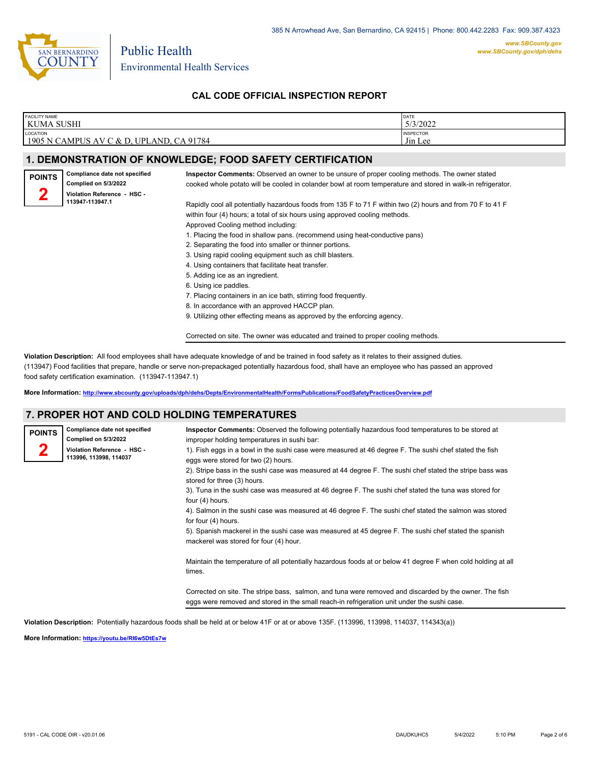

*www.SBCounty.gov [www.SBCounty.gov/dph/dehs](http://www.sbcounty.gov/dph/ehsportal)*

**CAL CODE OFFICIAL INSPECTION REPORT**

| FACILITY NAME<br>KUMA SUSHI                   |                                                                                                                   |                                                                                                             | DATE<br>5/3/2022            |  |  |  |
|-----------------------------------------------|-------------------------------------------------------------------------------------------------------------------|-------------------------------------------------------------------------------------------------------------|-----------------------------|--|--|--|
| LOCATION                                      | 1905 N CAMPUS AV C & D, UPLAND, CA 91784                                                                          |                                                                                                             | <b>INSPECTOR</b><br>Jin Lee |  |  |  |
|                                               |                                                                                                                   |                                                                                                             |                             |  |  |  |
|                                               |                                                                                                                   | 1. DEMONSTRATION OF KNOWLEDGE; FOOD SAFETY CERTIFICATION                                                    |                             |  |  |  |
| <b>POINTS</b>                                 | Compliance date not specified                                                                                     | Inspector Comments: Observed an owner to be unsure of proper cooling methods. The owner stated              |                             |  |  |  |
|                                               | Complied on 5/3/2022                                                                                              | cooked whole potato will be cooled in colander bowl at room temperature and stored in walk-in refrigerator. |                             |  |  |  |
|                                               | Violation Reference - HSC -                                                                                       |                                                                                                             |                             |  |  |  |
|                                               | 113947-113947.1                                                                                                   | Rapidly cool all potentially hazardous foods from 135 F to 71 F within two (2) hours and from 70 F to 41 F  |                             |  |  |  |
|                                               |                                                                                                                   | within four (4) hours; a total of six hours using approved cooling methods.                                 |                             |  |  |  |
|                                               |                                                                                                                   |                                                                                                             |                             |  |  |  |
|                                               | Approved Cooling method including:<br>1. Placing the food in shallow pans. (recommend using heat-conductive pans) |                                                                                                             |                             |  |  |  |
|                                               |                                                                                                                   | 2. Separating the food into smaller or thinner portions.                                                    |                             |  |  |  |
|                                               |                                                                                                                   | 3. Using rapid cooling equipment such as chill blasters.                                                    |                             |  |  |  |
|                                               |                                                                                                                   | 4. Using containers that facilitate heat transfer.                                                          |                             |  |  |  |
|                                               |                                                                                                                   | 5. Adding ice as an ingredient.                                                                             |                             |  |  |  |
|                                               |                                                                                                                   | 6. Using ice paddles.                                                                                       |                             |  |  |  |
|                                               |                                                                                                                   | 7. Placing containers in an ice bath, stirring food frequently.                                             |                             |  |  |  |
| 8. In accordance with an approved HACCP plan. |                                                                                                                   |                                                                                                             |                             |  |  |  |
|                                               |                                                                                                                   | 9. Utilizing other effecting means as approved by the enforcing agency.                                     |                             |  |  |  |
|                                               |                                                                                                                   | Corrected on site. The owner was educated and trained to proper cooling methods.                            |                             |  |  |  |

**Violation Description:** All food employees shall have adequate knowledge of and be trained in food safety as it relates to their assigned duties. (113947) Food facilities that prepare, handle or serve non-prepackaged potentially hazardous food, shall have an employee who has passed an approved food safety certification examination. (113947-113947.1)

**More Information: <http://www.sbcounty.gov/uploads/dph/dehs/Depts/EnvironmentalHealth/FormsPublications/FoodSafetyPracticesOverview.pdf>**

# **7. PROPER HOT AND COLD HOLDING TEMPERATURES**

| Compliance date not specified<br><b>POINTS</b><br>Complied on 5/3/2022<br>Violation Reference - HSC -<br>113996, 113998, 114037 | Inspector Comments: Observed the following potentially hazardous food temperatures to be stored at<br>improper holding temperatures in sushi bar:<br>1). Fish eggs in a bowl in the sushi case were measured at 46 degree F. The sushi chef stated the fish<br>eggs were stored for two (2) hours.<br>2). Stripe bass in the sushi case was measured at 44 degree F. The sushi chef stated the stripe bass was<br>stored for three (3) hours.<br>3). Tuna in the sushi case was measured at 46 degree F. The sushi chef stated the tuna was stored for<br>four (4) hours.                                          |
|---------------------------------------------------------------------------------------------------------------------------------|--------------------------------------------------------------------------------------------------------------------------------------------------------------------------------------------------------------------------------------------------------------------------------------------------------------------------------------------------------------------------------------------------------------------------------------------------------------------------------------------------------------------------------------------------------------------------------------------------------------------|
|                                                                                                                                 | 4). Salmon in the sushi case was measured at 46 degree F. The sushi chef stated the salmon was stored<br>for four (4) hours.<br>5). Spanish mackerel in the sushi case was measured at 45 degree F. The sushi chef stated the spanish<br>mackerel was stored for four (4) hour.<br>Maintain the temperature of all potentially hazardous foods at or below 41 degree F when cold holding at all<br>times.<br>Corrected on site. The stripe bass, salmon, and tuna were removed and discarded by the owner. The fish<br>eggs were removed and stored in the small reach-in refrigeration unit under the sushi case. |

**Violation Description:** Potentially hazardous foods shall be held at or below 41F or at or above 135F. (113996, 113998, 114037, 114343(a))

**More Information: <https://youtu.be/RI6w5DtEs7w>**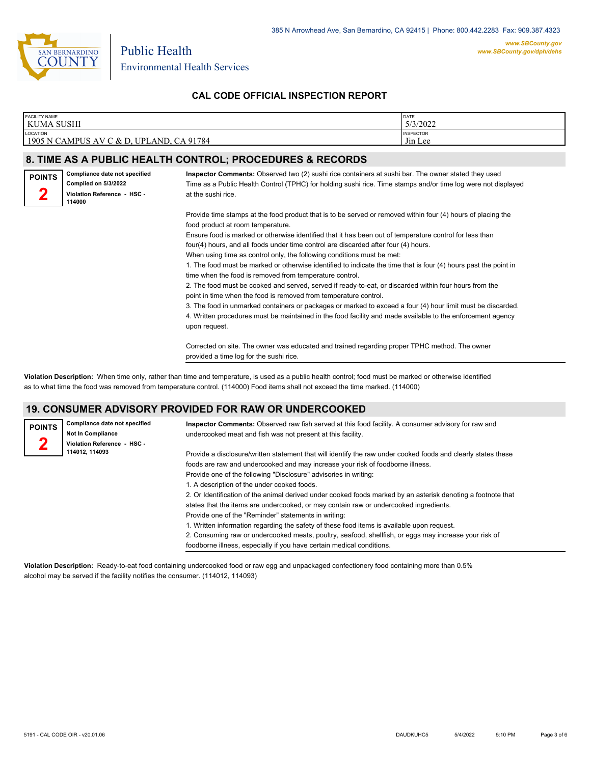

*www.SBCounty.gov [www.SBCounty.gov/dph/dehs](http://www.sbcounty.gov/dph/ehsportal)*

**CAL CODE OFFICIAL INSPECTION REPORT**

| <b>FACILITY NAME</b><br>KUMA SUSHI                   |                                                                                                |                                                                                                                                                                                                                                                                                                                                                                                                                                                                                                                                                                                                                                                                                                                                                                                                                                                                                                                                                                                                                                          | DATE<br>5/3/2022            |
|------------------------------------------------------|------------------------------------------------------------------------------------------------|------------------------------------------------------------------------------------------------------------------------------------------------------------------------------------------------------------------------------------------------------------------------------------------------------------------------------------------------------------------------------------------------------------------------------------------------------------------------------------------------------------------------------------------------------------------------------------------------------------------------------------------------------------------------------------------------------------------------------------------------------------------------------------------------------------------------------------------------------------------------------------------------------------------------------------------------------------------------------------------------------------------------------------------|-----------------------------|
| LOCATION<br>1905 N CAMPUS AV C & D, UPLAND, CA 91784 |                                                                                                |                                                                                                                                                                                                                                                                                                                                                                                                                                                                                                                                                                                                                                                                                                                                                                                                                                                                                                                                                                                                                                          | <b>INSPECTOR</b><br>Jin Lee |
|                                                      |                                                                                                | 8. TIME AS A PUBLIC HEALTH CONTROL; PROCEDURES & RECORDS                                                                                                                                                                                                                                                                                                                                                                                                                                                                                                                                                                                                                                                                                                                                                                                                                                                                                                                                                                                 |                             |
| <b>POINTS</b>                                        | Compliance date not specified<br>Complied on 5/3/2022<br>Violation Reference - HSC -<br>114000 | Inspector Comments: Observed two (2) sushi rice containers at sushi bar. The owner stated they used<br>Time as a Public Health Control (TPHC) for holding sushi rice. Time stamps and/or time log were not displayed<br>at the sushi rice.                                                                                                                                                                                                                                                                                                                                                                                                                                                                                                                                                                                                                                                                                                                                                                                               |                             |
|                                                      |                                                                                                | Provide time stamps at the food product that is to be served or removed within four (4) hours of placing the<br>food product at room temperature.<br>Ensure food is marked or otherwise identified that it has been out of temperature control for less than<br>four(4) hours, and all foods under time control are discarded after four (4) hours.<br>When using time as control only, the following conditions must be met:<br>1. The food must be marked or otherwise identified to indicate the time that is four (4) hours past the point in<br>time when the food is removed from temperature control.<br>2. The food must be cooked and served, served if ready-to-eat, or discarded within four hours from the<br>point in time when the food is removed from temperature control.<br>3. The food in unmarked containers or packages or marked to exceed a four (4) hour limit must be discarded.<br>4. Written procedures must be maintained in the food facility and made available to the enforcement agency<br>upon request. |                             |
|                                                      |                                                                                                | Corrected on site. The owner was educated and trained regarding proper TPHC method. The owner<br>provided a time log for the sushi rice.                                                                                                                                                                                                                                                                                                                                                                                                                                                                                                                                                                                                                                                                                                                                                                                                                                                                                                 |                             |

**Violation Description:** When time only, rather than time and temperature, is used as a public health control; food must be marked or otherwise identified as to what time the food was removed from temperature control. (114000) Food items shall not exceed the time marked. (114000)

# **19. CONSUMER ADVISORY PROVIDED FOR RAW OR UNDERCOOKED**

| <b>POINTS</b> | Compliance date not specified<br><b>Not In Compliance</b><br>Violation Reference - HSC - | Inspector Comments: Observed raw fish served at this food facility. A consumer advisory for raw and<br>undercooked meat and fish was not present at this facility.                                    |
|---------------|------------------------------------------------------------------------------------------|-------------------------------------------------------------------------------------------------------------------------------------------------------------------------------------------------------|
|               | 114012, 114093                                                                           | Provide a disclosure/written statement that will identify the raw under cooked foods and clearly states these                                                                                         |
|               |                                                                                          | foods are raw and undercooked and may increase your risk of foodborne illness.                                                                                                                        |
|               |                                                                                          | Provide one of the following "Disclosure" advisories in writing:                                                                                                                                      |
|               |                                                                                          | 1. A description of the under cooked foods.                                                                                                                                                           |
|               |                                                                                          | 2. Or Identification of the animal derived under cooked foods marked by an asterisk denoting a footnote that<br>states that the items are undercooked, or may contain raw or undercooked ingredients. |
|               |                                                                                          | Provide one of the "Reminder" statements in writing:                                                                                                                                                  |
|               |                                                                                          | 1. Written information regarding the safety of these food items is available upon request.                                                                                                            |
|               |                                                                                          | 2. Consuming raw or undercooked meats, poultry, seafood, shellfish, or eggs may increase your risk of                                                                                                 |
|               |                                                                                          | foodborne illness, especially if you have certain medical conditions.                                                                                                                                 |

**Violation Description:** Ready-to-eat food containing undercooked food or raw egg and unpackaged confectionery food containing more than 0.5% alcohol may be served if the facility notifies the consumer. (114012, 114093)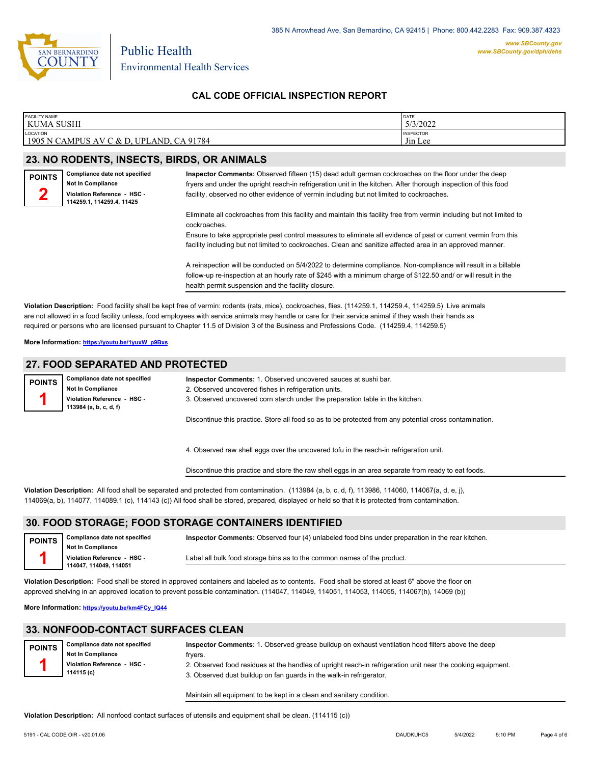

**CAL CODE OFFICIAL INSPECTION REPORT**

| <b>FACILITY NAME</b>                                               | DATE                                            |
|--------------------------------------------------------------------|-------------------------------------------------|
| <b>KUMA SUSHI</b>                                                  | 5/3/2022                                        |
| LOCATION<br>1905 N CAMPUS<br>CA 91784<br>UPLAND,<br>, AV<br>7 & D. | <b>INSPECTOR</b><br>$-1$<br>J <sub>in</sub> Lee |

# **23. NO RODENTS, INSECTS, BIRDS, OR ANIMALS**

| <b>POINTS</b> | Compliance date not specified                            |
|---------------|----------------------------------------------------------|
|               | Not In Compliance                                        |
|               | Violation Reference - HSC -<br>114259.1, 114259.4, 11425 |
|               |                                                          |

**Inspector Comments:** Observed fifteen (15) dead adult german cockroaches on the floor under the deep fryers and under the upright reach-in refrigeration unit in the kitchen. After thorough inspection of this food facility, observed no other evidence of vermin including but not limited to cockroaches.

Eliminate all cockroaches from this facility and maintain this facility free from vermin including but not limited to cockroaches.

Ensure to take appropriate pest control measures to eliminate all evidence of past or current vermin from this facility including but not limited to cockroaches. Clean and sanitize affected area in an approved manner.

A reinspection will be conducted on 5/4/2022 to determine compliance. Non-compliance will result in a billable follow-up re-inspection at an hourly rate of \$245 with a minimum charge of \$122.50 and/ or will result in the health permit suspension and the facility closure.

**Violation Description:** Food facility shall be kept free of vermin: rodents (rats, mice), cockroaches, flies. (114259.1, 114259.4, 114259.5) Live animals are not allowed in a food facility unless, food employees with service animals may handle or care for their service animal if they wash their hands as required or persons who are licensed pursuant to Chapter 11.5 of Division 3 of the Business and Professions Code. (114259.4, 114259.5)

**More Information: [https://youtu.be/1yuxW\\_p9Bxs](https://youtu.be/1yuxW_p9Bxs)**

### **27. FOOD SEPARATED AND PROTECTED**

| <b>POINTS</b> | Compliance date not specified<br><b>Not In Compliance</b><br>Violation Reference - HSC -<br>113984 (a, b, c, d, f) | <b>Inspector Comments: 1. Observed uncovered sauces at sushi bar.</b><br>2. Observed uncovered fishes in refrigeration units.<br>3. Observed uncovered corn starch under the preparation table in the kitchen. |
|---------------|--------------------------------------------------------------------------------------------------------------------|----------------------------------------------------------------------------------------------------------------------------------------------------------------------------------------------------------------|
|               |                                                                                                                    | Discontinue this practice. Store all food so as to be protected from any potential cross contamination.                                                                                                        |

4. Observed raw shell eggs over the uncovered tofu in the reach-in refrigeration unit.

Discontinue this practice and store the raw shell eggs in an area separate from ready to eat foods.

**Violation Description:** All food shall be separated and protected from contamination. (113984 (a, b, c, d, f), 113986, 114060, 114067(a, d, e, j), 114069(a, b), 114077, 114089.1 (c), 114143 (c)) All food shall be stored, prepared, displayed or held so that it is protected from contamination.

## **30. FOOD STORAGE; FOOD STORAGE CONTAINERS IDENTIFIED**

**Compliance date not specified Not In Compliance Violation Reference - HSC - 114047, 114049, 114051 POINTS 1 Inspector Comments:** Observed four (4) unlabeled food bins under preparation in the rear kitchen. Label all bulk food storage bins as to the common names of the product.

**Violation Description:** Food shall be stored in approved containers and labeled as to contents. Food shall be stored at least 6" above the floor on approved shelving in an approved location to prevent possible contamination. (114047, 114049, 114051, 114053, 114055, 114067(h), 14069 (b))

**More Information: [https://youtu.be/km4FCy\\_IQ44](https://youtu.be/km4FCy_IQ44)**

### **33. NONFOOD-CONTACT SURFACES CLEAN**

| <b>POINTS</b> | Compliance date not specified             | Inspector Comments: 1. Observed grease buildup on exhaust ventilation hood filters above the deep                                                                                  |
|---------------|-------------------------------------------|------------------------------------------------------------------------------------------------------------------------------------------------------------------------------------|
|               | <b>Not In Compliance</b>                  | tryers.                                                                                                                                                                            |
|               | Violation Reference - HSC -<br>114115 (c) | 2. Observed food residues at the handles of upright reach-in refrigeration unit near the cooking equipment.<br>3. Observed dust buildup on fan quards in the walk-in refrigerator. |
|               |                                           |                                                                                                                                                                                    |

Maintain all equipment to be kept in a clean and sanitary condition.

**Violation Description:** All nonfood contact surfaces of utensils and equipment shall be clean. (114115 (c))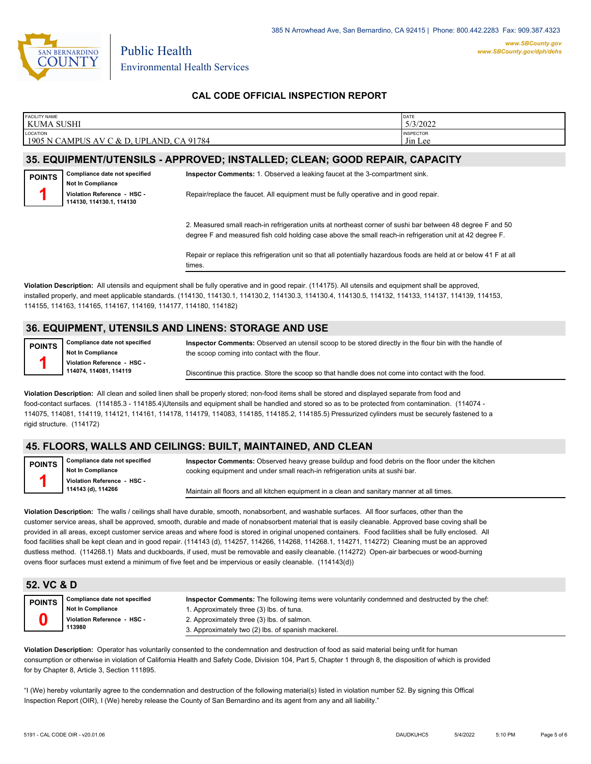

# **CAL CODE OFFICIAL INSPECTION REPORT**

| <b>FACILITY NAME</b>                                                                      | DATE                                    |
|-------------------------------------------------------------------------------------------|-----------------------------------------|
| KUMA SUSHI                                                                                | 5/3/2022                                |
| <b>LOCATION</b><br>CA 91784<br>1905<br>PLAND.<br>N CAMPUS<br>UP!<br>ΔV<br>ח ל<br>$\Delta$ | <b>INSPECTOR</b><br>J <sub>in</sub> Lee |

#### **35. EQUIPMENT/UTENSILS - APPROVED; INSTALLED; CLEAN; GOOD REPAIR, CAPACITY**

**Compliance date not specified Not In Compliance Violation Reference - HSC - 114130, 114130.1, 114130 POINTS 1**

**Inspector Comments:** 1. Observed a leaking faucet at the 3-compartment sink.

Repair/replace the faucet. All equipment must be fully operative and in good repair.

2. Measured small reach-in refrigeration units at northeast corner of sushi bar between 48 degree F and 50 degree F and measured fish cold holding case above the small reach-in refrigeration unit at 42 degree F.

Repair or replace this refrigeration unit so that all potentially hazardous foods are held at or below 41 F at all times.

**Violation Description:** All utensils and equipment shall be fully operative and in good repair. (114175). All utensils and equipment shall be approved, installed properly, and meet applicable standards. (114130, 114130.1, 114130.2, 114130.3, 114130.4, 114130.5, 114132, 114133, 114137, 114139, 114153, 114155, 114163, 114165, 114167, 114169, 114177, 114180, 114182)

# **36. EQUIPMENT, UTENSILS AND LINENS: STORAGE AND USE**

**Compliance date not specified Not In Compliance Violation Reference - HSC - 114074, 114081, 114119 POINTS 1**

**Inspector Comments:** Observed an utensil scoop to be stored directly in the flour bin with the handle of the scoop coming into contact with the flour.

Discontinue this practice. Store the scoop so that handle does not come into contact with the food.

**Violation Description:** All clean and soiled linen shall be properly stored; non-food items shall be stored and displayed separate from food and food-contact surfaces. (114185.3 - 114185.4)Utensils and equipment shall be handled and stored so as to be protected from contamination. (114074 - 114075, 114081, 114119, 114121, 114161, 114178, 114179, 114083, 114185, 114185.2, 114185.5) Pressurized cylinders must be securely fastened to a rigid structure. (114172)

# **45. FLOORS, WALLS AND CEILINGS: BUILT, MAINTAINED, AND CLEAN**

**Compliance date not specified Not In Compliance Violation Reference - HSC - 114143 (d), 114266 POINTS 1**

**Inspector Comments:** Observed heavy grease buildup and food debris on the floor under the kitchen cooking equipment and under small reach-in refrigeration units at sushi bar.

Maintain all floors and all kitchen equipment in a clean and sanitary manner at all times.

**Violation Description:** The walls / ceilings shall have durable, smooth, nonabsorbent, and washable surfaces. All floor surfaces, other than the customer service areas, shall be approved, smooth, durable and made of nonabsorbent material that is easily cleanable. Approved base coving shall be provided in all areas, except customer service areas and where food is stored in original unopened containers. Food facilities shall be fully enclosed. All food facilities shall be kept clean and in good repair. (114143 (d), 114257, 114266, 114268, 114268.1, 114271, 114272) Cleaning must be an approved dustless method. (114268.1) Mats and duckboards, if used, must be removable and easily cleanable. (114272) Open-air barbecues or wood-burning ovens floor surfaces must extend a minimum of five feet and be impervious or easily cleanable. (114143(d))

## **52. VC & D**

| POINTS |  |
|--------|--|
|        |  |

**Compliance date not specified Not In Compliance Violation Reference - HSC - 113980**

**Inspector Comments:** The following items were voluntarily condemned and destructed by the chef: 1. Approximately three (3) lbs. of tuna. 2. Approximately three (3) lbs. of salmon. 3. Approximately two (2) lbs. of spanish mackerel.

**Violation Description:** Operator has voluntarily consented to the condemnation and destruction of food as said material being unfit for human consumption or otherwise in violation of California Health and Safety Code, Division 104, Part 5, Chapter 1 through 8, the disposition of which is provided for by Chapter 8, Article 3, Section 111895.

"I (We) hereby voluntarily agree to the condemnation and destruction of the following material(s) listed in violation number 52. By signing this Offical Inspection Report (OIR), I (We) hereby release the County of San Bernardino and its agent from any and all liability."